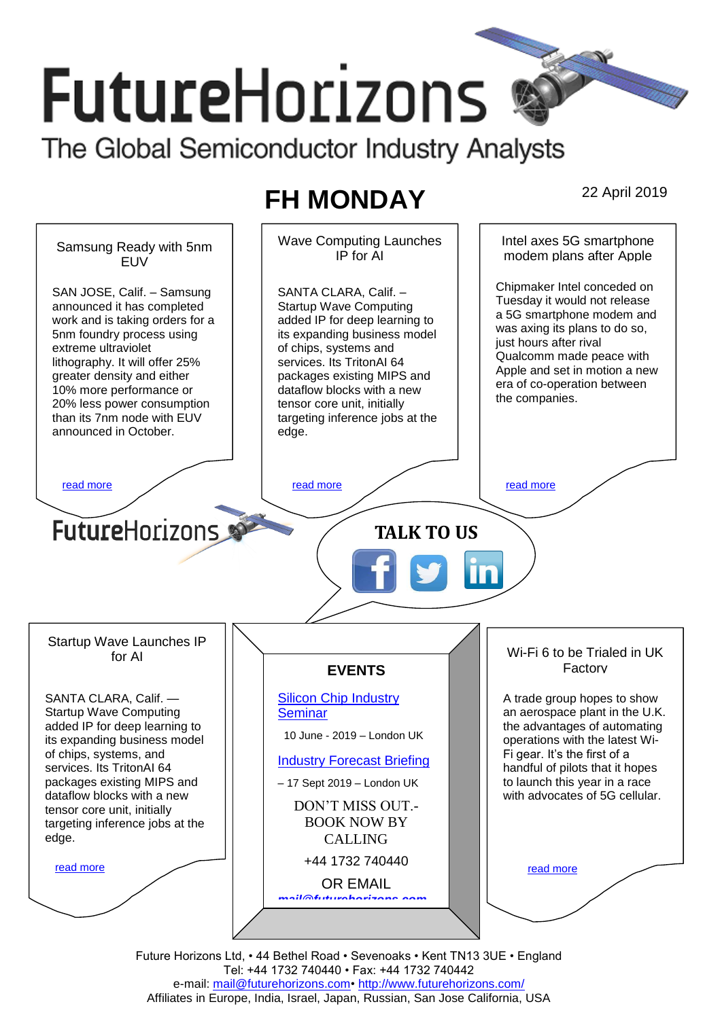# **FutureHorizons** The Global Semiconductor Industry Analysts

# **FH MONDAY** 22 April 2019



Tel: +44 1732 740440 • Fax: +44 1732 740442 e-mail: mail@futurehorizons.com• http://www.futurehorizons.com/ Affiliates in Europe, India, Israel, Japan, Russian, San Jose California, USA